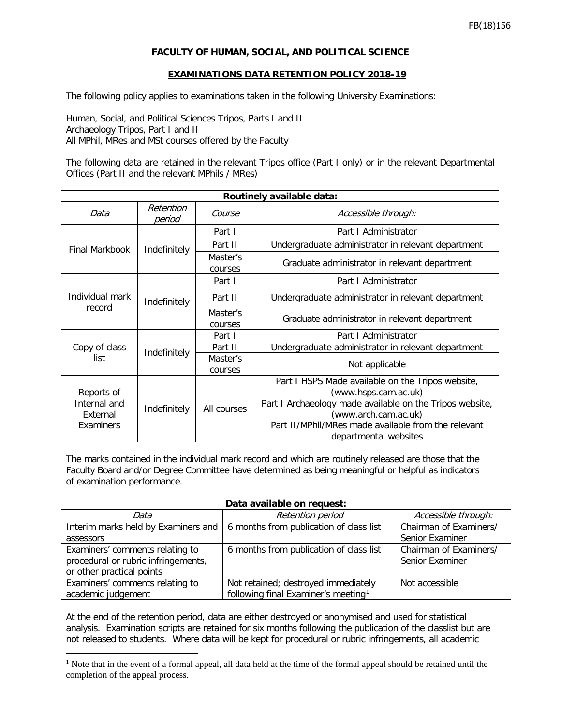## **FACULTY OF HUMAN, SOCIAL, AND POLITICAL SCIENCE**

## **EXAMINATIONS DATA RETENTION POLICY 2018-19**

The following policy applies to examinations taken in the following University Examinations:

Human, Social, and Political Sciences Tripos, Parts I and II Archaeology Tripos, Part I and II All MPhil, MRes and MSt courses offered by the Faculty

The following data are retained in the relevant Tripos office (Part I only) or in the relevant Departmental Offices (Part II and the relevant MPhils / MRes)

| Routinely available data:                           |                     |                     |                                                                                                                                                                                                                      |  |  |
|-----------------------------------------------------|---------------------|---------------------|----------------------------------------------------------------------------------------------------------------------------------------------------------------------------------------------------------------------|--|--|
| Data                                                | Retention<br>period | Course              | Accessible through:                                                                                                                                                                                                  |  |  |
| Final Markbook                                      | Indefinitely        | Part I              | Part I Administrator                                                                                                                                                                                                 |  |  |
|                                                     |                     | Part II             | Undergraduate administrator in relevant department                                                                                                                                                                   |  |  |
|                                                     |                     | Master's<br>courses | Graduate administrator in relevant department                                                                                                                                                                        |  |  |
| Individual mark<br>record                           | Indefinitely        | Part I              | Part I Administrator                                                                                                                                                                                                 |  |  |
|                                                     |                     | Part II             | Undergraduate administrator in relevant department                                                                                                                                                                   |  |  |
|                                                     |                     | Master's<br>courses | Graduate administrator in relevant department                                                                                                                                                                        |  |  |
| Copy of class<br>list                               | Indefinitely        | Part I              | Part I Administrator                                                                                                                                                                                                 |  |  |
|                                                     |                     | Part II             | Undergraduate administrator in relevant department                                                                                                                                                                   |  |  |
|                                                     |                     | Master's<br>courses | Not applicable                                                                                                                                                                                                       |  |  |
| Reports of<br>Internal and<br>External<br>Examiners | Indefinitely        | All courses         | Part I HSPS Made available on the Tripos website,<br>(www.hsps.cam.ac.uk)<br>Part I Archaeology made available on the Tripos website,<br>(www.arch.cam.ac.uk)<br>Part II/MPhil/MRes made available from the relevant |  |  |
|                                                     |                     |                     | departmental websites                                                                                                                                                                                                |  |  |

The marks contained in the individual mark record and which are routinely released are those that the Faculty Board and/or Degree Committee have determined as being meaningful or helpful as indicators of examination performance.

| Data available on request:          |                                                 |                        |  |  |  |
|-------------------------------------|-------------------------------------------------|------------------------|--|--|--|
| Data                                | <b>Retention period</b>                         | Accessible through:    |  |  |  |
| Interim marks held by Examiners and | 6 months from publication of class list         | Chairman of Examiners/ |  |  |  |
| assessors                           |                                                 | Senior Examiner        |  |  |  |
| Examiners' comments relating to     | 6 months from publication of class list         | Chairman of Examiners/ |  |  |  |
| procedural or rubric infringements, |                                                 | Senior Examiner        |  |  |  |
| or other practical points           |                                                 |                        |  |  |  |
| Examiners' comments relating to     | Not retained; destroyed immediately             | Not accessible         |  |  |  |
| academic judgement                  | following final Examiner's meeting <sup>1</sup> |                        |  |  |  |

At the end of the retention period, data are either destroyed or anonymised and used for statistical analysis. Examination scripts are retained for six months following the publication of the classlist but are not released to students. Where data will be kept for procedural or rubric infringements, all academic

<span id="page-0-0"></span><sup>&</sup>lt;sup>1</sup> Note that in the event of a formal appeal, all data held at the time of the formal appeal should be retained until the completion of the appeal process.